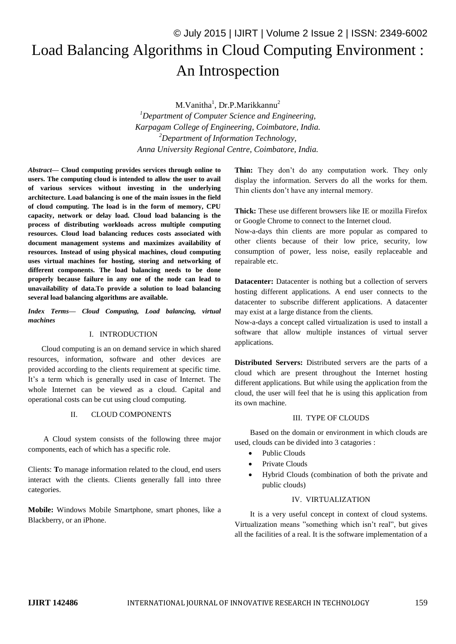# © July 2015 | IJIRT | Volume 2 Issue 2 | ISSN: 2349-6002 Load Balancing Algorithms in Cloud Computing Environment : An Introspection

M.Vanitha<sup>1</sup>, Dr.P.Marikkannu<sup>2</sup> *<sup>1</sup>Department of Computer Science and Engineering, Karpagam College of Engineering, Coimbatore, India. <sup>2</sup>Department of Information Technology, Anna University Regional Centre, Coimbatore, India.*

*Abstract***— Cloud computing provides services through online to users. The computing cloud is intended to allow the user to avail of various services without investing in the underlying architecture. Load balancing is one of the main issues in the field of cloud computing. The load is in the form of memory, CPU capacity, network or delay load. Cloud load balancing is the process of distributing workloads across multiple computing resources. Cloud load balancing reduces costs associated with document management systems and maximizes availability of resources. Instead of using physical machines, cloud computing uses virtual machines for hosting, storing and networking of different components. The load balancing needs to be done properly because failure in any one of the node can lead to unavailability of data.To provide a solution to load balancing several load balancing algorithms are available.**

*Index Terms— Cloud Computing, Load balancing, virtual machines*

#### I. INTRODUCTION

 Cloud computing is an on demand service in which shared resources, information, software and other devices are provided according to the clients requirement at specific time. It's a term which is generally used in case of Internet. The whole Internet can be viewed as a cloud. Capital and operational costs can be cut using cloud computing.

#### II. CLOUD COMPONENTS

 A Cloud system consists of the following three major components, each of which has a specific role.

Clients: **T**o manage information related to the cloud, end users interact with the clients. Clients generally fall into three categories.

**Mobile:** Windows Mobile Smartphone, smart phones, like a Blackberry, or an iPhone.

**Thin:** They don't do any computation work. They only display the information. Servers do all the works for them. Thin clients don't have any internal memory.

**Thick:** These use different browsers like IE or mozilla Firefox or Google Chrome to connect to the Internet cloud.

Now-a-days thin clients are more popular as compared to other clients because of their low price, security, low consumption of power, less noise, easily replaceable and repairable etc.

**Datacenter:** Datacenter is nothing but a collection of servers hosting different applications. A end user connects to the datacenter to subscribe different applications. A datacenter may exist at a large distance from the clients.

Now-a-days a concept called virtualization is used to install a software that allow multiple instances of virtual server applications.

**Distributed Servers:** Distributed servers are the parts of a cloud which are present throughout the Internet hosting different applications. But while using the application from the cloud, the user will feel that he is using this application from its own machine.

#### III. TYPE OF CLOUDS

 Based on the domain or environment in which clouds are used, clouds can be divided into 3 catagories :

- Public Clouds
- Private Clouds
- Hybrid Clouds (combination of both the private and public clouds)

## IV. VIRTUALIZATION

 It is a very useful concept in context of cloud systems. Virtualization means "something which isn't real", but gives all the facilities of a real. It is the software implementation of a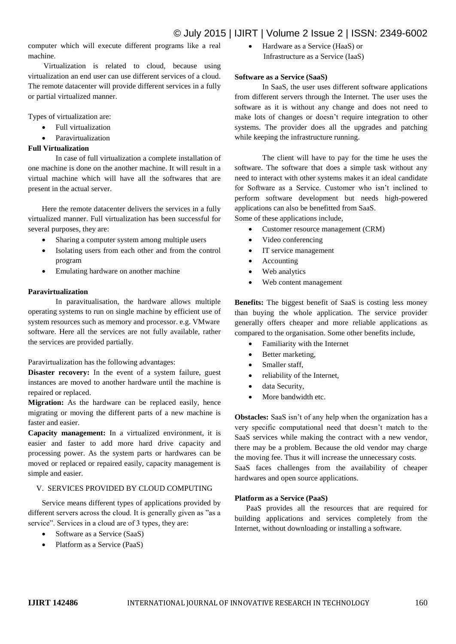computer which will execute different programs like a real machine.

 Virtualization is related to cloud, because using virtualization an end user can use different services of a cloud. The remote datacenter will provide different services in a fully or partial virtualized manner.

Types of virtualization are:

- Full virtualization
- Paravirtualization

## **Full Virtualization**

In case of full virtualization a complete installation of one machine is done on the another machine. It will result in a virtual machine which will have all the softwares that are present in the actual server.

Here the remote datacenter delivers the services in a fully virtualized manner. Full virtualization has been successful for several purposes, they are:

- Sharing a computer system among multiple users
- Isolating users from each other and from the control program
- Emulating hardware on another machine

## **Paravirtualization**

In paravitualisation, the hardware allows multiple operating systems to run on single machine by efficient use of system resources such as memory and processor. e.g. VMware software. Here all the services are not fully available, rather the services are provided partially.

Paravirtualization has the following advantages:

**Disaster recovery:** In the event of a system failure, guest instances are moved to another hardware until the machine is repaired or replaced.

**Migration:** As the hardware can be replaced easily, hence migrating or moving the different parts of a new machine is faster and easier.

**Capacity management:** In a virtualized environment, it is easier and faster to add more hard drive capacity and processing power. As the system parts or hardwares can be moved or replaced or repaired easily, capacity management is simple and easier.

## V. SERVICES PROVIDED BY CLOUD COMPUTING

Service means different types of applications provided by different servers across the cloud. It is generally given as "as a service". Services in a cloud are of 3 types, they are:

- Software as a Service (SaaS)
- Platform as a Service (PaaS)

 Hardware as a Service (HaaS) or Infrastructure as a Service (IaaS)

## **Software as a Service (SaaS)**

In SaaS, the user uses different software applications from different servers through the Internet. The user uses the software as it is without any change and does not need to make lots of changes or doesn't require integration to other systems. The provider does all the upgrades and patching while keeping the infrastructure running.

The client will have to pay for the time he uses the software. The software that does a simple task without any need to interact with other systems makes it an ideal candidate for Software as a Service. Customer who isn't inclined to perform software development but needs high-powered applications can also be benefitted from SaaS. Some of these applications include,

- Customer resource management (CRM)
- Video conferencing
- IT service management
- Accounting
- Web analytics
- Web content management

**Benefits:** The biggest benefit of SaaS is costing less money than buying the whole application. The service provider generally offers cheaper and more reliable applications as compared to the organisation. Some other benefits include,

- Familiarity with the Internet
- Better marketing,
- Smaller staff,
- reliability of the Internet,
- data Security,
- More bandwidth etc.

**Obstacles:** SaaS isn't of any help when the organization has a very specific computational need that doesn't match to the SaaS services while making the contract with a new vendor, there may be a problem. Because the old vendor may charge the moving fee. Thus it will increase the unnecessary costs. SaaS faces challenges from the availability of cheaper hardwares and open source applications.

## **Platform as a Service (PaaS)**

 PaaS provides all the resources that are required for building applications and services completely from the Internet, without downloading or installing a software.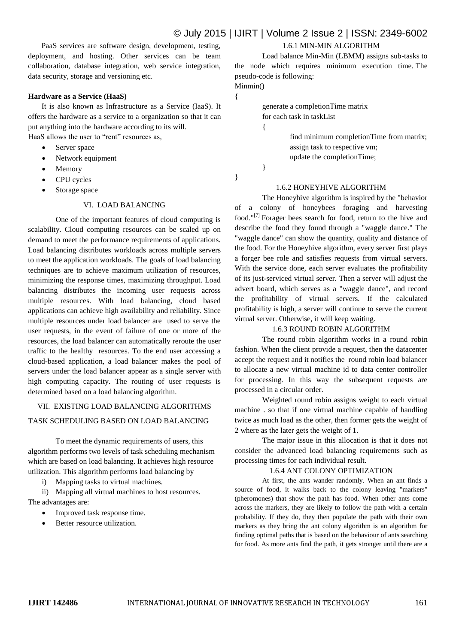PaaS services are software design, development, testing, deployment, and hosting. Other services can be team collaboration, database integration, web service integration, data security, storage and versioning etc.

#### **Hardware as a Service (HaaS)**

 It is also known as Infrastructure as a Service (IaaS). It offers the hardware as a service to a organization so that it can put anything into the hardware according to its will. HaaS allows the user to "rent" resources as,

- Server space
- Network equipment
- Memory
- CPU cycles
- Storage space

## VI. LOAD BALANCING

One of the important features of cloud computing is scalability. Cloud computing resources can be scaled up on demand to meet the performance requirements of applications. Load balancing distributes workloads across multiple servers to meet the application workloads. The goals of load balancing techniques are to achieve maximum utilization of resources, minimizing the response times, maximizing throughput. Load balancing distributes the incoming user requests across multiple resources. With load balancing, cloud based applications can achieve high availability and reliability. Since multiple resources under load balancer are used to serve the user requests, in the event of failure of one or more of the resources, the load balancer can automatically reroute the user traffic to the healthy resources. To the end user accessing a cloud-based application, a load balancer makes the pool of servers under the load balancer appear as a single server with high computing capacity. The routing of user requests is determined based on a load balancing algorithm.

## VII. EXISTING LOAD BALANCING ALGORITHMS

## TASK SCHEDULING BASED ON LOAD BALANCING

To meet the dynamic requirements of users, this algorithm performs two levels of task scheduling mechanism which are based on load balancing. It achieves high resource utilization. This algorithm performs load balancing by

i) Mapping tasks to virtual machines.

ii) Mapping all virtual machines to host resources. The advantages are:

- Improved task response time.
- Better resource utilization.

## 1.6.1 MIN-MIN ALGORITHM

Load balance Min-Min (LBMM) assigns sub-tasks to the node which requires minimum execution time. The pseudo-code is following:

#### Minmin() {

generate a completionTime matrix for each task in taskList

> find minimum completionTime from matrix; assign task to respective vm; update the completionTime;

}

{

}

## 1.6.2 HONEYHIVE ALGORITHM

The Honeyhive algorithm is inspired by the "behavior of a colony of honeybees foraging and harvesting food."[7] Forager bees search for food, return to the hive and describe the food they found through a "waggle dance." The "waggle dance" can show the quantity, quality and distance of the food. For the Honeyhive algorithm, every server first plays a forger bee role and satisfies requests from virtual servers. With the service done, each server evaluates the profitability of its just-serviced virtual server. Then a server will adjust the advert board, which serves as a "waggle dance", and record the profitability of virtual servers. If the calculated profitability is high, a server will continue to serve the current virtual server. Otherwise, it will keep waiting.

#### 1.6.3 ROUND ROBIN ALGORITHM

The round robin algorithm works in a round robin fashion. When the client provide a request, then the datacenter accept the request and it notifies the round robin load balancer to allocate a new virtual machine id to data center controller for processing. In this way the subsequent requests are processed in a circular order.

Weighted round robin assigns weight to each virtual machine . so that if one virtual machine capable of handling twice as much load as the other, then former gets the weight of 2 where as the later gets the weight of 1.

The major issue in this allocation is that it does not consider the advanced load balancing requirements such as processing times for each individual result.

#### 1.6.4 ANT COLONY OPTIMIZATION

At first, the ants wander randomly. When an ant finds a source of food, it walks back to the colony leaving "markers" (pheromones) that show the path has food. When other ants come across the markers, they are likely to follow the path with a certain probability. If they do, they then populate the path with their own markers as they bring the ant colony algorithm is an algorithm for finding optimal paths that is based on the behaviour of ants searching for food. As more ants find the path, it gets stronger until there are a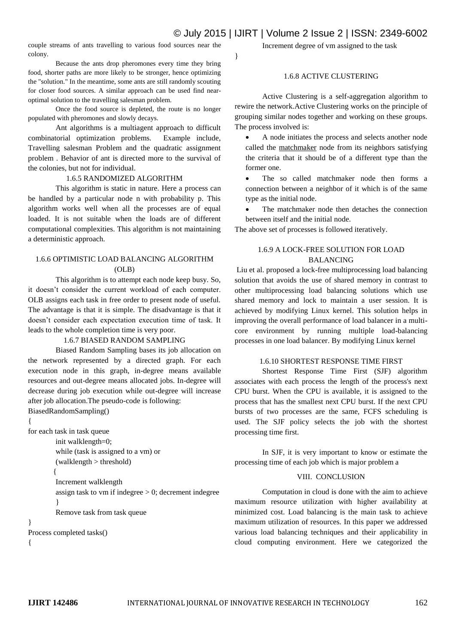}

couple streams of ants travelling to various food sources near the colony.

Because the ants drop pheromones every time they bring food, shorter paths are more likely to be stronger, hence optimizing the "solution." In the meantime, some ants are still randomly scouting for closer food sources. A similar approach can be used find nearoptimal solution to the travelling salesman problem.

Once the food source is depleted, the route is no longer populated with pheromones and slowly decays.

Ant algorithms is a multiagent approach to difficult combinatorial optimization problems. Example include, Travelling salesman Problem and the quadratic assignment problem . Behavior of ant is directed more to the survival of the colonies, but not for individual.

#### 1.6.5 RANDOMIZED ALGORITHM

This algorithm is static in nature. Here a process can be handled by a particular node n with probability p. This algorithm works well when all the processes are of equal loaded. It is not suitable when the loads are of different computational complexities. This algorithm is not maintaining a deterministic approach.

## 1.6.6 OPTIMISTIC LOAD BALANCING ALGORITHM  $($ OLB $)$

This algorithm is to attempt each node keep busy. So, it doesn't consider the current workload of each computer. OLB assigns each task in free order to present node of useful. The advantage is that it is simple. The disadvantage is that it doesn't consider each expectation execution time of task. It leads to the whole completion time is very poor.

### 1.6.7 BIASED RANDOM SAMPLING

Biased Random Sampling bases its job allocation on the network represented by a directed graph. For each execution node in this graph, in-degree means available resources and out-degree means allocated jobs. In-degree will decrease during job execution while out-degree will increase after job allocation.The pseudo-code is following: BiasedRandomSampling()

{

for each task in task queue

init walklength=0; while (task is assigned to a vm) or

(walklength > threshold)

#### $\{$

Increment walklength assign task to vm if indegree  $> 0$ ; decrement indegree }

Remove task from task queue

```
}
```
Process completed tasks()

```
{
```
Increment degree of vm assigned to the task

#### 1.6.8 ACTIVE CLUSTERING

Active Clustering is a self-aggregation algorithm to rewire the network.Active Clustering works on the principle of grouping similar nodes together and working on these groups. The process involved is:

 A node initiates the process and selects another node called the matchmaker node from its neighbors satisfying the criteria that it should be of a different type than the former one.

 The so called matchmaker node then forms a connection between a neighbor of it which is of the same type as the initial node.

 The matchmaker node then detaches the connection between itself and the initial node.

The above set of processes is followed iteratively.

## 1.6.9 A LOCK-FREE SOLUTION FOR LOAD BALANCING

Liu et al. proposed a lock-free multiprocessing load balancing solution that avoids the use of shared memory in contrast to other multiprocessing load balancing solutions which use shared memory and lock to maintain a user session. It is achieved by modifying Linux kernel. This solution helps in improving the overall performance of load balancer in a multicore environment by running multiple load-balancing processes in one load balancer. By modifying Linux kernel

#### 1.6.10 SHORTEST RESPONSE TIME FIRST

Shortest Response Time First (SJF) algorithm associates with each process the length of the process's next CPU burst. When the CPU is available, it is assigned to the process that has the smallest next CPU burst. If the next CPU bursts of two processes are the same, FCFS scheduling is used. The SJF policy selects the job with the shortest processing time first.

In SJF, it is very important to know or estimate the processing time of each job which is major problem a

#### VIII. CONCLUSION

Computation in cloud is done with the aim to achieve maximum resource utilization with higher availability at minimized cost. Load balancing is the main task to achieve maximum utilization of resources. In this paper we addressed various load balancing techniques and their applicability in cloud computing environment. Here we categorized the